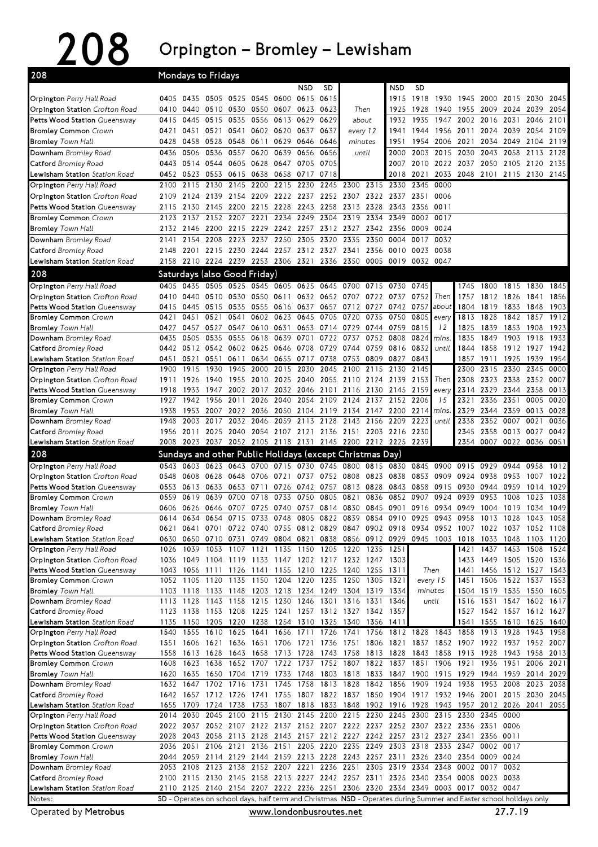## 208 Orpington – Bromley – Lewisham

| 208                                                                        | Mondays to Fridays |              |                                                                                                                    |                          |                |                                  |                                    |                          |                |                |                        |              |                                                                          |                |              |                                            |              |              |
|----------------------------------------------------------------------------|--------------------|--------------|--------------------------------------------------------------------------------------------------------------------|--------------------------|----------------|----------------------------------|------------------------------------|--------------------------|----------------|----------------|------------------------|--------------|--------------------------------------------------------------------------|----------------|--------------|--------------------------------------------|--------------|--------------|
|                                                                            |                    |              |                                                                                                                    |                          |                |                                  | NSD                                | SD                       |                |                | NSD                    | <b>SD</b>    |                                                                          |                |              |                                            |              |              |
| Orpington Perry Hall Road                                                  | 0405               | 0435         |                                                                                                                    | 0505 0525                | 0545           | 0600                             | 0615                               | 0615                     |                |                | 1915                   | 1918         | 1930                                                                     | 1945           | 2000         | 2015                                       | 2030         | 2045         |
| Orpington Station Crofton Road                                             | 0410               | 0440         | 0510 0530                                                                                                          |                          |                | 0550 0607                        | 0623                               | 0623                     |                | Then           | 1925                   | 1928         | 1940                                                                     | 1955           | 2009 2024    |                                            | 2039         | 2054         |
| Petts Wood Station Queensway                                               | 0415               | 0445         | 0515                                                                                                               | 0535                     | 0556           | 0613                             | 0629                               | 0629                     | about          |                | 1932                   | 1935         | 1947                                                                     | 2002           | 2016 2031    |                                            | 2046         | 2101         |
| <b>Bromley Common Crown</b>                                                | 0421               | 0451         | 0521                                                                                                               | 0541                     |                | 0602 0620                        | 0637                               | 0637                     | every 12       |                | 1941                   | 1944         | 1956                                                                     | 2011           |              | 2024 2039                                  | 2054         | 2109         |
| <b>Bromley</b> Town Hall                                                   | 0428<br>0436       | 0458<br>0506 | 0528 0548<br>0536                                                                                                  | 0557                     | 0611<br>0620   | 0629<br>0639                     | 0646<br>0656                       | 0646<br>0656             | minutes        |                | 1951<br>2000           | 1954<br>2003 | 2006                                                                     | 2021<br>2030   | 2034<br>2043 | 2049<br>2058                               | 2104<br>2113 | 2119<br>2128 |
| Downham Bromley Road                                                       | 0443               |              | 0514 0544 0605                                                                                                     |                          | 0628           | 0647 0705                        |                                    | 0705                     |                | until          | 2007                   |              | 2015<br>2010 2022 2037                                                   |                |              | 2050 2105 2120                             |              | 2135         |
| <b>Catford</b> Bromley Road<br><b>Lewisham Station</b> <i>Station Road</i> | 0452               | 0523         | 0553 0615                                                                                                          |                          | 0638 0658 0717 |                                  |                                    | 0718                     |                |                | 2018                   | 2021         | 2033                                                                     |                |              | 2048 2101 2115 2130 2145                   |              |              |
| Orpington Perry Hall Road                                                  | 2100               | 2115         | 2130                                                                                                               | 2145                     | 2200           | 2215                             | 2230                               | 2245                     | 2300           | 2315           | 2330                   | 2345         | 0000                                                                     |                |              |                                            |              |              |
| Orpington Station Crofton Road                                             | 2109               | 2124         |                                                                                                                    | 2139 2154                | 2209 2222 2237 |                                  |                                    | 2252 2307                |                | 2322           | 2337                   | 2351         | 0006                                                                     |                |              |                                            |              |              |
| Petts Wood Station Queensway                                               | 2115               | 2130         |                                                                                                                    | 2145 2200                | 2215           | 2228                             | 2243                               | 2258                     | 2313           | 2328           | 2343                   | 2356 0011    |                                                                          |                |              |                                            |              |              |
| <b>Bromley Common Crown</b>                                                | 2123               | 2137         |                                                                                                                    | 2152 2207                | 2221           | 2234                             | 2249                               | 2304                     | 2319           | 2334           | 2349                   | 0002         | 0017                                                                     |                |              |                                            |              |              |
| <b>Bromley</b> Town Hall                                                   | 2132               | 2146         | 2200 2215                                                                                                          |                          | 2229           | 2242 2257                        |                                    | 2312 2327                |                | 2342           | 2356                   |              | 0009 0024                                                                |                |              |                                            |              |              |
| Downham Bromley Road                                                       | 2141               | 2154         | 2208                                                                                                               | 2223                     | 2237           | 2250                             | 2305                               | 2320                     | 2335           | 2350           | 0004                   | 0017         | 0032                                                                     |                |              |                                            |              |              |
| <b>Catford</b> Bromley Road                                                | 2148               | 2201         |                                                                                                                    | 2215 2230                |                | 2244 2257                        | 2312                               | 2327 2341                |                | 2356           | 0010                   | 0023         | 0038                                                                     |                |              |                                            |              |              |
| Lewisham Station Station Road                                              | 2158               | 2210         | 2224 2239                                                                                                          |                          | 2253 2306 2321 |                                  |                                    | 2336 2350                |                | 0005           | 0019 0032              |              | 0047                                                                     |                |              |                                            |              |              |
| 208                                                                        |                    |              | Saturdays (also Good Friday)                                                                                       |                          |                |                                  |                                    |                          |                |                |                        |              |                                                                          |                |              |                                            |              |              |
| Orpington Perry Hall Road                                                  | 0405               | 0435         |                                                                                                                    | 0505 0525                |                | 0545 0605 0625                   |                                    | 0645                     | 0700           | 0715           | 0730                   | 0745         |                                                                          | 1745           | 1800 1815    |                                            | 1830         | 1845         |
| Orpington Station Crofton Road                                             | 0410               | 0440         | 0510 0530                                                                                                          |                          | 0550 0611      |                                  |                                    | 0632 0652 0707           |                | 0722 0737      |                        | 0752         | Then                                                                     | 1757           |              | 1812 1826                                  | 1841         | 1856         |
| Petts Wood Station Queensway                                               | 0415<br>0421       | 0445<br>0451 | 0515 0535<br>0521                                                                                                  | 0541                     |                | 0555 0616 0637<br>0602 0623 0645 |                                    | 0705 0720                | 0657 0712 0727 | 0735           | 0742 0757<br>0750      | 0805         | about                                                                    | 1804<br>1813   | 1828         | 1819 1833<br>1842                          | 1848<br>1857 | 1903<br>1912 |
| <b>Bromley Common Crown</b><br><b>Bromley</b> Town Hall                    | 0427               | 0457         | 0527                                                                                                               | 0547                     | 0610           | 0631                             | 0653                               | 0714 0729                |                | 0744           | 0759                   | 0815         | every<br>12                                                              | 1825           | 1839         | 1853                                       | 1908         | 1923         |
| Downham Bromley Road                                                       | 0435               | 0505         | 0535                                                                                                               | 0555                     | 0618           | 0639                             | 0701                               | 0722                     | 0737           | 0752           | 0808                   | 0824         | mins                                                                     | 1835           | 1849         | 1903                                       | 1918         | 1933         |
| <b>Catford</b> Bromley Road                                                | 0442               |              | 0512 0542 0602                                                                                                     |                          | 0625           | 0646 0708                        |                                    | 0729                     | 0744           | 0759           | 0816                   | 0832         | until                                                                    | 1844           | 1858         | 1912                                       | 1927         | 1942         |
| Lewisham Station Station Road                                              | 0451               | 0521         | 0551                                                                                                               | 0611                     | 0634           | 0655                             | 0717                               | 0738                     | 0753           | 0809           | 0827                   | 0843         |                                                                          | 1857           | 1911         | 1925                                       | 1939         | 1954         |
| Orpington Perry Hall Road                                                  | 1900               | 1915         | 1930                                                                                                               | 1945                     | 2000           | 2015                             | 2030                               | 2045                     | 2100           | 2115           | 2130                   | 2145         |                                                                          | 2300           |              | 2315 2330                                  | 2345         | 0000         |
| Orpington Station Crofton Road                                             | 1911               | 1926         | 1940                                                                                                               | 1955                     | 2010           | 2025 2040                        |                                    |                          | 2055 2110 2124 |                | 2139                   | 2153         | Then                                                                     | 2308           |              | 2323 2338                                  | 2352 0007    |              |
| Petts Wood Station Queensway                                               | 1918               | 1933         | 1947                                                                                                               | 2002                     | 2017           | 2032 2046                        | 2054                               | 2101 2116 2130           |                |                | 2145 2159<br>2137 2152 |              | every<br>15                                                              | 2314           | 2329 2344    |                                            | 2358         | 0013         |
| <b>Bromley Common Crown</b><br><b>Bromley</b> Town Hall                    | 1927<br>1938       | 1942<br>1953 | 1956<br>2007                                                                                                       | 2011<br>2022             | 2026           | 2040<br>2036 2050 2104           |                                    | 2109<br>2119             | 2124           | 2134 2147 2200 |                        | 2206<br>2214 | mins.                                                                    | 2321<br>2329   |              | 2336 2351<br>2344 2359                     | 0005<br>0013 | 0020<br>0028 |
| Downham Bromley Road                                                       | 1948               | 2003         | 2017                                                                                                               | 2032                     | 2046           | 2059                             | 2113                               | 2128                     | 2143           | 2156           | 2209                   | 2223         | until                                                                    | 2338           | 2352         | 0007                                       | 0021         | 0036         |
| <b>Catford</b> Bromley Road                                                | 1956               | 2011         | 2025                                                                                                               | 2040                     | 2054           | 2107                             | 2121                               |                          | 2136 2151      |                | 2203 2216              | 2230         |                                                                          | 2345           | 2358         | 0013                                       | 0027         | 0042         |
| Lewisham Station Station Road                                              | 2008               |              | 2023 2037 2052 2105 2118 2131 2145 2200 2212 2225 2239                                                             |                          |                |                                  |                                    |                          |                |                |                        |              |                                                                          | 2354           | 0007 0022    |                                            | 0036 0051    |              |
| 208                                                                        |                    |              | Sundays and other Public Holidays (except Christmas Day)                                                           |                          |                |                                  |                                    |                          |                |                |                        |              |                                                                          |                |              |                                            |              |              |
|                                                                            |                    |              |                                                                                                                    |                          |                |                                  | 0730                               | 0745                     | 0800           |                | 0815 0830              | 0845         | 0900                                                                     |                |              |                                            | 0958         | 1012         |
| Orpington Perry Hall Road                                                  | 0543               | 0603         | 0623 0643                                                                                                          |                          | 0700           | 0715                             |                                    |                          |                |                |                        |              |                                                                          | 0915           | 0929         | 0944                                       |              |              |
| Orpington Station Crofton Road                                             | 0548               | 0608         | 0628 0648                                                                                                          |                          | 0706 0721      |                                  | 0737                               | 0752 0808                |                | 0823           | 0838                   |              | 0853 0909                                                                | 0924           | 0938         | 0953                                       | 1007         | 1022         |
| Petts Wood Station Queensway                                               | 0553               | 0613         | 0633                                                                                                               | 0653                     | 0711           | 0726                             | 0742                               | 0757                     | 0813 0828      |                | 0843                   | 0858         | 0915                                                                     | 0930           | 0944         | 0959                                       | 1014         | 1029         |
| <b>Bromley Common Crown</b>                                                | 0559               | 0619         | 0639                                                                                                               | 0700                     | 0718           | 0733                             | 0750                               | 0805                     | 0821           | 0836           | 0852                   | 0907         | 0924                                                                     | 0939           | 0953         | 1008                                       | 1023         | 1038         |
| <b>Bromley</b> Town Hall                                                   | 0606               | 0626         |                                                                                                                    | 0646 0707                | 0725           | 0740                             | 0757                               | 0814                     | 0830           | 0845           | 0901                   |              | 0916 0934                                                                | 0949           | 1004         | 1019                                       | 1034         | 1049         |
| Downham Bromley Road                                                       | 0614               | 0634         | 0621 0641 0701 0722 0740 0755 0812 0829 0847 0902 0918 0934 0952 1007 1022 1037 1052 1108                          | 0654 0715                | 0733           | 0748                             | 0805                               | 0822                     | 0839           | 0854           | 0910                   | 0925         | 0943                                                                     | 0958           | 1013         | 1028                                       | 1043         | 1058         |
| <b>Catford</b> Bromley Road<br><b>Lewisham Station</b> <i>Station Road</i> | 0630               | 0650         | 0710 0731                                                                                                          |                          |                | 0749 0804 0821                   |                                    |                          |                |                |                        |              | 0838 0856 0912 0929 0945 1003 1018                                       |                | 1033 1048    |                                            |              | 1103 1120    |
| Orpington Perry Hall Road                                                  | 1026               | 1039         |                                                                                                                    | 1053 1107 1121 1135 1150 |                |                                  |                                    | 1205 1220 1235 1251      |                |                |                        |              |                                                                          | 1421           |              | 1437 1453 1508 1524                        |              |              |
| Orpington Station Crofton Road                                             | 1036               |              | 1049 1104 1119 1133 1147 1202 1217 1232 1247 1303                                                                  |                          |                |                                  |                                    |                          |                |                |                        |              |                                                                          | 1433           |              | 1449 1505 1520 1536                        |              |              |
| Petts Wood Station Queensway                                               | 1043               |              | 1056 1111 1126                                                                                                     |                          |                |                                  | 1141 1155 1210 1225 1240 1255 1311 |                          |                |                |                        |              | Then                                                                     | 1441           |              | 1456 1512 1527                             |              | 1543         |
| <b>Bromley Common</b> Crown                                                |                    | 1052 1105    | 1120 1135                                                                                                          |                          |                | 1150 1204 1220                   |                                    | 1235 1250                |                | 1305           | 1321                   |              | every 15                                                                 | 1451           |              | 1506 1522 1537                             |              | 1553         |
| <b>Bromley</b> Town Hall                                                   | 1113               | 1128         | 1103 1118 1133 1148<br>1143                                                                                        | 1158                     |                | 1215 1230 1246                   | 1203 1218 1234 1249 1304 1319 1334 | 1301                     | 1316 1331      |                | 1346                   |              | minutes<br>until                                                         | 1504<br>1516   |              | 1519 1535 1550 1605                        |              | 1617         |
| Downham Bromley Road<br>Catford Bromley Road                               |                    |              | 1123 1138 1153 1208                                                                                                |                          |                |                                  | 1225 1241 1257 1312 1327 1342 1357 |                          |                |                |                        |              |                                                                          |                |              | 1531 1547 1602<br>1527 1542 1557 1612 1627 |              |              |
| Lewisham Station Station Road                                              | 1135               |              | 1150 1205 1220                                                                                                     |                          |                |                                  | 1238 1254 1310 1325 1340 1356 1411 |                          |                |                |                        |              |                                                                          | 1541           |              | 1555 1610 1625 1640                        |              |              |
| Orpington Perry Hall Road                                                  | 1540               | 1555         | 1610                                                                                                               | 1625                     |                |                                  | 1641 1656 1711 1726 1741 1756      |                          |                |                |                        |              | 1812 1828 1843 1858                                                      |                | 1913 1928    |                                            | 1943         | 1958         |
| Orpington Station Crofton Road                                             | 1551               |              | 1606 1621 1636                                                                                                     |                          |                | 1651 1706 1721                   |                                    | 1736 1751 1806           |                |                | 1821                   |              | 1837 1852 1907 1922 1937                                                 |                |              |                                            | 1952         | 2007         |
| Petts Wood Station Queensway                                               | 1558               | 1613         | 1628                                                                                                               | 1643                     | 1658           | 1713 1728                        |                                    | 1743 1758 1813 1828      |                |                |                        |              | 1843 1858 1913                                                           |                | 1928 1943    |                                            | 1958         | 2013         |
| <b>Bromley Common Crown</b>                                                | 1608               | 1623         | 1638                                                                                                               |                          |                |                                  |                                    |                          |                |                |                        |              | 1652 1707 1722 1737 1752 1807 1822 1837 1851 1906 1921                   |                |              | 1936 1951                                  | 2006         | 2021         |
| <b>Bromley</b> Town Hall                                                   | 1620               | 1632 1647    | 1635 1650 1704<br>1702 1716                                                                                        |                          | 1731           | 1719 1733 1748<br>1745 1758      |                                    | 1813 1828 1842 1856      |                |                |                        |              | 1803 1818 1833 1847 1900 1915 1929<br>1909 1924 1938                     |                | 1953 2008    | 1944 1959 2014                             | 2023         | 2029<br>2038 |
| Downham Bromley Road<br><b>Catford</b> Bromley Road                        |                    |              | 1642 1657 1712 1726 1741 1755 1807 1822 1837 1850 1904 1917 1932 1946 2001 2015 2030                               |                          |                |                                  |                                    |                          |                |                |                        |              |                                                                          |                |              |                                            |              | 2045         |
| <b>Lewisham Station</b> <i>Station Road</i>                                |                    |              | 1655 1709 1724 1738                                                                                                |                          |                |                                  |                                    |                          |                |                |                        |              | 1753 1807 1818 1833 1848 1902 1916 1928 1943 1957 2012 2026 2041 2055    |                |              |                                            |              |              |
| Orpington Perry Hall Road                                                  |                    | 2014 2030    | 2045 2100                                                                                                          |                          |                |                                  |                                    |                          |                |                |                        |              | 2115 2130 2145 2200 2215 2230 2245 2300 2315 2330 2345 0000              |                |              |                                            |              |              |
| Orpington Station Crofton Road                                             | 2022               | 2037         |                                                                                                                    |                          |                |                                  |                                    |                          |                |                |                        |              | 2052 2107 2122 2137 2152 2207 2222 2237 2252 2307 2322 2336 2351 0006    |                |              |                                            |              |              |
| Petts Wood Station Queensway                                               | 2028               |              | 2043 2058 2113 2128 2143 2157 2212 2227 2242 2257 2312 2327 2341                                                   |                          |                |                                  |                                    |                          |                |                |                        |              |                                                                          |                | 2356 0011    |                                            |              |              |
| <b>Bromley Common Crown</b>                                                | 2036               | 2051         |                                                                                                                    | 2106 2121                |                | 2136 2151                        |                                    | 2205 2220 2235 2249 2303 |                |                |                        | 2318 2333    |                                                                          | 2347           | 0002 0017    |                                            |              |              |
| <b>Bromley</b> Town Hall<br>Downham Bromley Road                           | 2044<br>2053       | 2059         | 2114 2129 2144 2159 2213 2228 2243 2257 2311<br>2108 2123 2138                                                     |                          |                |                                  |                                    |                          |                |                |                        |              | 2326 2340<br>2152 2207 2221 2236 2251 2305 2319 2334 2348 0002 0017 0032 | 2354 0009 0024 |              |                                            |              |              |
| <b>Catford</b> Bromley Road                                                |                    |              | 2100 2115 2130 2145 2158 2213 2227 2242 2257 2311 2325 2340 2354 0008 0023 0038                                    |                          |                |                                  |                                    |                          |                |                |                        |              |                                                                          |                |              |                                            |              |              |
| Lewisham Station Station Road                                              |                    |              | 2110 2125 2140 2154 2207 2222 2236 2251 2306 2320 2334 2349 0003 0017 0032 0047                                    |                          |                |                                  |                                    |                          |                |                |                        |              |                                                                          |                |              |                                            |              |              |
| Notes:                                                                     |                    |              | SD - Operates on school days, half term and Christmas NSD - Operates during Summer and Easter school holidays only |                          |                |                                  |                                    |                          |                |                |                        |              |                                                                          |                |              |                                            |              |              |